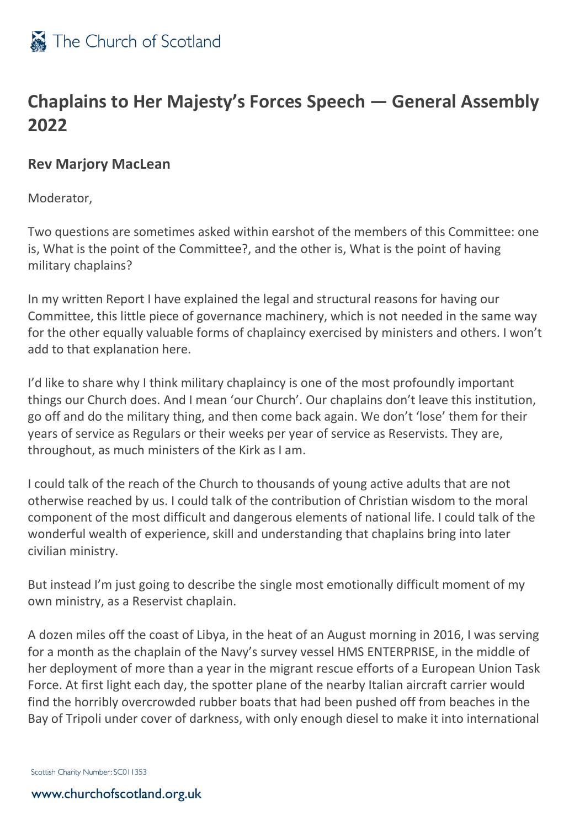

## **Chaplains to Her Majesty's Forces Speech — General Assembly 2022**

## **Rev Marjory MacLean**

Moderator,

Two questions are sometimes asked within earshot of the members of this Committee: one is, What is the point of the Committee?, and the other is, What is the point of having military chaplains?

In my written Report I have explained the legal and structural reasons for having our Committee, this little piece of governance machinery, which is not needed in the same way for the other equally valuable forms of chaplaincy exercised by ministers and others. I won't add to that explanation here.

I'd like to share why I think military chaplaincy is one of the most profoundly important things our Church does. And I mean 'our Church'. Our chaplains don't leave this institution, go off and do the military thing, and then come back again. We don't 'lose' them for their years of service as Regulars or their weeks per year of service as Reservists. They are, throughout, as much ministers of the Kirk as I am.

I could talk of the reach of the Church to thousands of young active adults that are not otherwise reached by us. I could talk of the contribution of Christian wisdom to the moral component of the most difficult and dangerous elements of national life. I could talk of the wonderful wealth of experience, skill and understanding that chaplains bring into later civilian ministry.

But instead I'm just going to describe the single most emotionally difficult moment of my own ministry, as a Reservist chaplain.

A dozen miles off the coast of Libya, in the heat of an August morning in 2016, I was serving for a month as the chaplain of the Navy's survey vessel HMS ENTERPRISE, in the middle of her deployment of more than a year in the migrant rescue efforts of a European Union Task Force. At first light each day, the spotter plane of the nearby Italian aircraft carrier would find the horribly overcrowded rubber boats that had been pushed off from beaches in the Bay of Tripoli under cover of darkness, with only enough diesel to make it into international

Scottish Charity Number: SC011353